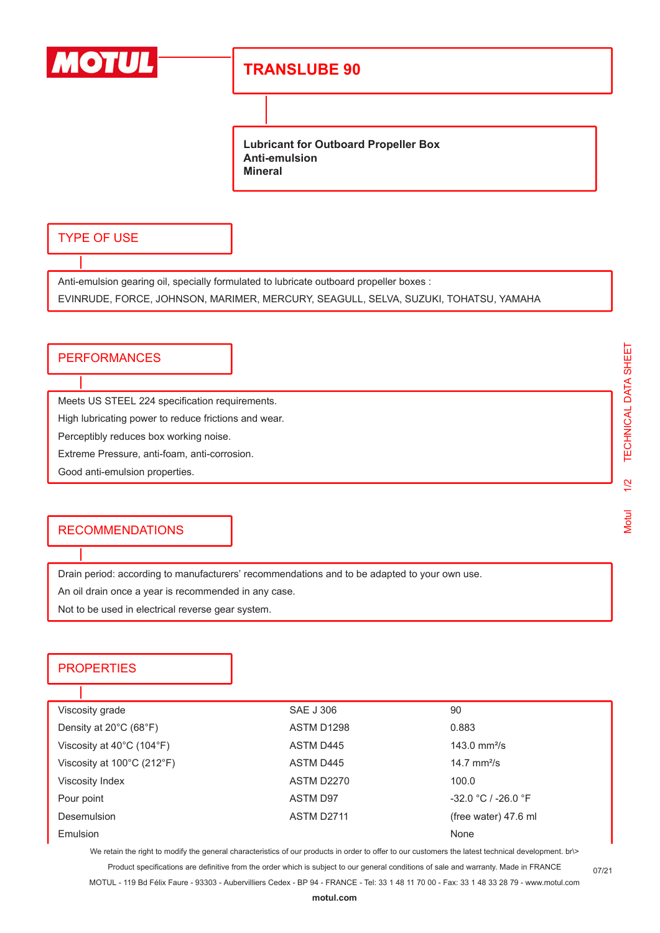

# **TRANSLUBE 90**

**Lubricant for Outboard Propeller Box Anti-emulsion Mineral**

#### TYPE OF USE

Anti-emulsion gearing oil, specially formulated to lubricate outboard propeller boxes :

EVINRUDE, FORCE, JOHNSON, MARIMER, MERCURY, SEAGULL, SELVA, SUZUKI, TOHATSU, YAMAHA

### **PERFORMANCES**

Meets US STEEL 224 specification requirements.

High lubricating power to reduce frictions and wear.

Perceptibly reduces box working noise.

Extreme Pressure, anti-foam, anti-corrosion.

Good anti-emulsion properties.

#### **RECOMMENDATIONS**

Drain period: according to manufacturers' recommendations and to be adapted to your own use.

An oil drain once a year is recommended in any case.

Not to be used in electrical reverse gear system.

### **PROPERTIES**

п

| Viscosity grade                                 | <b>SAE J 306</b> | 90                    |  |
|-------------------------------------------------|------------------|-----------------------|--|
| Density at 20°C (68°F)                          | ASTM D1298       | 0.883                 |  |
| Viscosity at $40^{\circ}$ C (104 $^{\circ}$ F)  | ASTM D445        | 143.0 $mm^2/s$        |  |
| Viscosity at $100^{\circ}$ C (212 $^{\circ}$ F) | ASTM D445        | 14.7 $mm^2/s$         |  |
| Viscosity Index                                 | ASTM D2270       | 100.0                 |  |
| Pour point                                      | <b>ASTM D97</b>  | $-32.0 °C / -26.0 °F$ |  |
| <b>Desemulsion</b>                              | ASTM D2711       | (free water) 47.6 ml  |  |
| Emulsion                                        |                  | None                  |  |

We retain the right to modify the general characteristics of our products in order to offer to our customers the latest technical development. br\>

Product specifications are definitive from the order which is subject to our general conditions of sale and warranty. Made in FRANCE MOTUL - 119 Bd Félix Faure - 93303 - Aubervilliers Cedex - BP 94 - FRANCE - Tel: 33 1 48 11 70 00 - Fax: 33 1 48 33 28 79 - www.motul.com

07/21